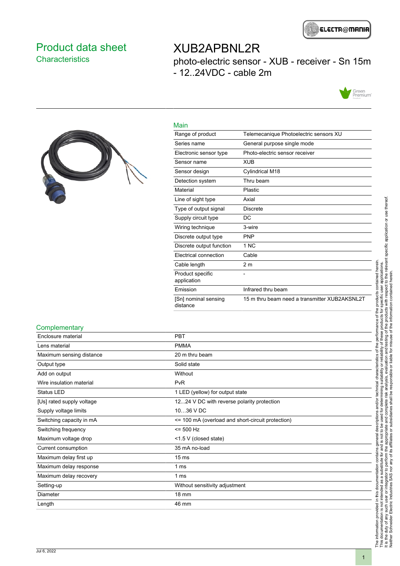

### <span id="page-0-0"></span>Product data sheet **Characteristics**

# XUB2APBNL2R photo-electric sensor - XUB - receiver - Sn 15m - 12..24VDC - cable 2m





| Main                             |                                               |
|----------------------------------|-----------------------------------------------|
| Range of product                 | Telemecanique Photoelectric sensors XU        |
| Series name                      | General purpose single mode                   |
| Electronic sensor type           | Photo-electric sensor receiver                |
| Sensor name                      | XUB                                           |
| Sensor design                    | Cylindrical M18                               |
| Detection system                 | Thru beam                                     |
| Material                         | Plastic                                       |
| Line of sight type               | Axial                                         |
| Type of output signal            | <b>Discrete</b>                               |
| Supply circuit type              | DC                                            |
| Wiring technique                 | 3-wire                                        |
| Discrete output type             | <b>PNP</b>                                    |
| Discrete output function         | 1 NC                                          |
| Electrical connection            | Cable                                         |
| Cable length                     | 2 <sub>m</sub>                                |
| Product specific<br>application  |                                               |
| Emission                         | Infrared thru beam                            |
| [Sn] nominal sensing<br>distance | 15 m thru beam need a transmitter XUB2AKSNL2T |

#### **Complementary**

| Enclosure material        | <b>PBT</b>                                        |
|---------------------------|---------------------------------------------------|
| Lens material             | <b>PMMA</b>                                       |
| Maximum sensing distance  | 20 m thru beam                                    |
| Output type               | Solid state                                       |
| Add on output             | Without                                           |
| Wire insulation material  | PvR                                               |
| <b>Status LED</b>         | 1 LED (yellow) for output state                   |
| [Us] rated supply voltage | 1224 V DC with reverse polarity protection        |
| Supply voltage limits     | 1036 V DC                                         |
| Switching capacity in mA  | <= 100 mA (overload and short-circuit protection) |
| Switching frequency       | $= 500$ Hz                                        |
| Maximum voltage drop      | <1.5 V (closed state)                             |
| Current consumption       | 35 mA no-load                                     |
| Maximum delay first up    | 15 <sub>ms</sub>                                  |
| Maximum delay response    | 1 ms                                              |
| Maximum delay recovery    | 1 ms                                              |
| Setting-up                | Without sensitivity adjustment                    |
| Diameter                  | 18 mm                                             |
| Length                    | 46 mm                                             |
|                           |                                                   |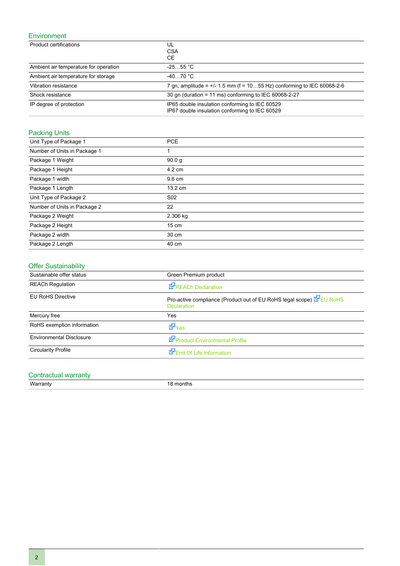#### Environment

| Product certifications                | UL<br><b>CSA</b><br><b>CE</b>                                                                    |
|---------------------------------------|--------------------------------------------------------------------------------------------------|
| Ambient air temperature for operation | $-2555$ °C                                                                                       |
| Ambient air temperature for storage   | $-4070 °C$                                                                                       |
| Vibration resistance                  | 7 gn, amplitude = $+/- 1.5$ mm (f = 1055 Hz) conforming to IEC 60068-2-6                         |
| Shock resistance                      | 30 gn (duration = 11 ms) conforming to IEC 60068-2-27                                            |
| IP degree of protection               | IP65 double insulation conforming to IEC 60529<br>IP67 double insulation conforming to IEC 60529 |

### Packing Units

| Unit Type of Package 1       | <b>PCE</b>        |
|------------------------------|-------------------|
| Number of Units in Package 1 | 1                 |
| Package 1 Weight             | 90.0 <sub>q</sub> |
| Package 1 Height             | 4.2 cm            |
| Package 1 width              | 9.6 cm            |
| Package 1 Length             | 13.2 cm           |
| Unit Type of Package 2       | S <sub>02</sub>   |
| Number of Units in Package 2 | 22                |
| Package 2 Weight             | 2.306 kg          |
| Package 2 Height             | 15 cm             |
| Package 2 width              | 30 cm             |
| Package 2 Length             | 40 cm             |

### Offer Sustainability

| Sustainable offer status        | Green Premium product                                                                      |
|---------------------------------|--------------------------------------------------------------------------------------------|
| <b>REACh Regulation</b>         | REACh Declaration                                                                          |
| <b>EU RoHS Directive</b>        | Pro-active compliance (Product out of EU RoHS legal scope) EPEU RoHS<br><b>Declaration</b> |
| Mercury free                    | Yes                                                                                        |
| RoHS exemption information      | dor <sub>Yes</sub>                                                                         |
| <b>Environmental Disclosure</b> | Product Environmental Profile                                                              |
| <b>Circularity Profile</b>      | End Of Life Information                                                                    |

### Contractual warranty

Warranty 18 months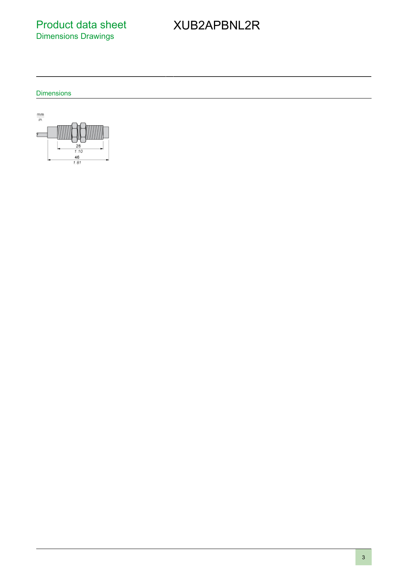Product data sheet Dimensions Drawings

# XUB2APBNL2R

**Dimensions** 

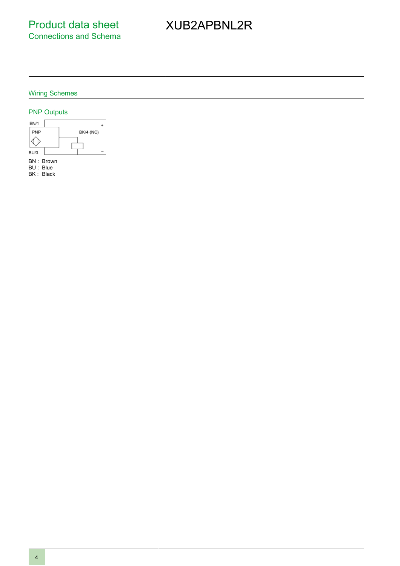# XUB2APBNL2R

#### Wiring Schemes

#### PNP Outputs

4